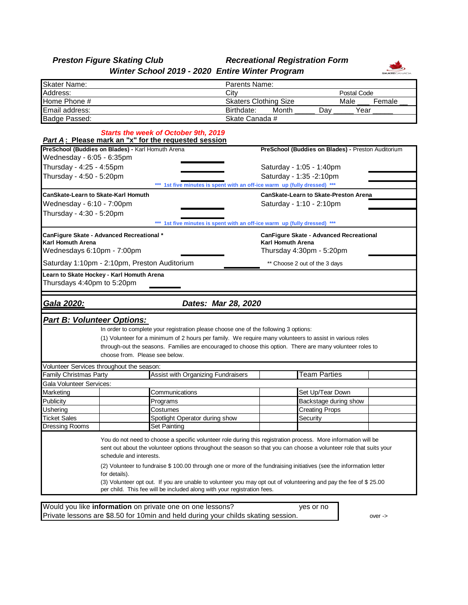## *Preston Figure Skating Club Recreational Registration Form Winter School 2019 - 2020 Entire Winter Program*



| <b>Skater Name:</b>                       |                                                                                                                    |                                                                                                                                                | Parents Name:                                                             |                          |                                              |        |  |  |  |
|-------------------------------------------|--------------------------------------------------------------------------------------------------------------------|------------------------------------------------------------------------------------------------------------------------------------------------|---------------------------------------------------------------------------|--------------------------|----------------------------------------------|--------|--|--|--|
| Address:                                  |                                                                                                                    |                                                                                                                                                | City<br>Postal Code                                                       |                          |                                              |        |  |  |  |
| Home Phone #                              |                                                                                                                    |                                                                                                                                                | Skaters Clothing Size                                                     |                          | Male                                         | Female |  |  |  |
| Email address:                            |                                                                                                                    |                                                                                                                                                | Birthdate:                                                                | Month                    | Day                                          | Year   |  |  |  |
| Badge Passed:                             |                                                                                                                    |                                                                                                                                                | Skate Canada #                                                            |                          |                                              |        |  |  |  |
|                                           |                                                                                                                    | <b>Starts the week of October 9th, 2019</b>                                                                                                    |                                                                           |                          |                                              |        |  |  |  |
|                                           | PreSchool (Buddies on Blades) - Karl Homuth Arena                                                                  | <b>Part A: Please mark an "x" for the requested session</b>                                                                                    |                                                                           |                          |                                              |        |  |  |  |
| Wednesday - 6:05 - 6:35pm                 |                                                                                                                    |                                                                                                                                                | PreSchool (Buddies on Blades) - Preston Auditorium                        |                          |                                              |        |  |  |  |
| Thursday - 4:25 - 4:55pm                  |                                                                                                                    |                                                                                                                                                | Saturday - 1:05 - 1:40pm                                                  |                          |                                              |        |  |  |  |
| Thursday - 4:50 - 5:20pm                  |                                                                                                                    |                                                                                                                                                | Saturday - 1:35 -2:10pm                                                   |                          |                                              |        |  |  |  |
|                                           |                                                                                                                    |                                                                                                                                                | *** 1st five minutes is spent with an off-ice warm up (fully dressed) *** |                          |                                              |        |  |  |  |
|                                           | CanSkate-Learn to Skate-Karl Homuth                                                                                |                                                                                                                                                |                                                                           |                          | <b>CanSkate-Learn to Skate-Preston Arena</b> |        |  |  |  |
| Wednesday - 6:10 - 7:00pm                 |                                                                                                                    |                                                                                                                                                |                                                                           | Saturday - 1:10 - 2:10pm |                                              |        |  |  |  |
| Thursday - 4:30 - 5:20pm                  |                                                                                                                    |                                                                                                                                                |                                                                           |                          |                                              |        |  |  |  |
|                                           |                                                                                                                    | *** 1st five minutes is spent with an off-ice warm up (fully dressed) ***                                                                      |                                                                           |                          |                                              |        |  |  |  |
| CanFigure Skate - Advanced Recreational * |                                                                                                                    |                                                                                                                                                |                                                                           |                          | CanFigure Skate - Advanced Recreational      |        |  |  |  |
| Karl Homuth Arena                         |                                                                                                                    |                                                                                                                                                |                                                                           | <b>Karl Homuth Arena</b> |                                              |        |  |  |  |
| Wednesdays 6:10pm - 7:00pm                |                                                                                                                    |                                                                                                                                                |                                                                           |                          | Thursday 4:30pm - 5:20pm                     |        |  |  |  |
|                                           | Saturday 1:10pm - 2:10pm, Preston Auditorium                                                                       |                                                                                                                                                | ** Choose 2 out of the 3 days                                             |                          |                                              |        |  |  |  |
|                                           | Learn to Skate Hockey - Karl Homuth Arena                                                                          |                                                                                                                                                |                                                                           |                          |                                              |        |  |  |  |
| Thursdays 4:40pm to 5:20pm                |                                                                                                                    |                                                                                                                                                |                                                                           |                          |                                              |        |  |  |  |
|                                           |                                                                                                                    |                                                                                                                                                |                                                                           |                          |                                              |        |  |  |  |
|                                           |                                                                                                                    |                                                                                                                                                |                                                                           |                          |                                              |        |  |  |  |
| <u> Gala 2020:</u>                        |                                                                                                                    | Dates: Mar 28, 2020                                                                                                                            |                                                                           |                          |                                              |        |  |  |  |
|                                           |                                                                                                                    |                                                                                                                                                |                                                                           |                          |                                              |        |  |  |  |
|                                           | <u> Part B: Volunteer Options:</u>                                                                                 |                                                                                                                                                |                                                                           |                          |                                              |        |  |  |  |
|                                           |                                                                                                                    | In order to complete your registration please choose one of the following 3 options:                                                           |                                                                           |                          |                                              |        |  |  |  |
|                                           |                                                                                                                    | (1) Volunteer for a minimum of 2 hours per family. We require many volunteers to assist in various roles                                       |                                                                           |                          |                                              |        |  |  |  |
|                                           | choose from. Please see below.                                                                                     | through-out the seasons. Families are encouraged to choose this option. There are many volunteer roles to                                      |                                                                           |                          |                                              |        |  |  |  |
|                                           |                                                                                                                    |                                                                                                                                                |                                                                           |                          |                                              |        |  |  |  |
| Family Christmas Party                    | Volunteer Services throughout the season:                                                                          | Assist with Organizing Fundraisers                                                                                                             |                                                                           |                          | <b>Team Parties</b>                          |        |  |  |  |
| Gala Volunteer Services:                  |                                                                                                                    |                                                                                                                                                |                                                                           |                          |                                              |        |  |  |  |
| Marketing                                 |                                                                                                                    | Communications                                                                                                                                 |                                                                           |                          | Set Up/Tear Down                             |        |  |  |  |
| Publicity                                 |                                                                                                                    | Programs                                                                                                                                       |                                                                           |                          | Backstage during show                        |        |  |  |  |
| Ushering                                  |                                                                                                                    | Costumes                                                                                                                                       |                                                                           |                          | <b>Creating Props</b>                        |        |  |  |  |
| Ticket Sales                              |                                                                                                                    | Spotlight Operator during show                                                                                                                 |                                                                           |                          | Securitv                                     |        |  |  |  |
| Dressing Rooms                            |                                                                                                                    | Set Painting                                                                                                                                   |                                                                           |                          |                                              |        |  |  |  |
|                                           |                                                                                                                    |                                                                                                                                                |                                                                           |                          |                                              |        |  |  |  |
|                                           |                                                                                                                    | You do not need to choose a specific volunteer role during this registration process. More information will be                                 |                                                                           |                          |                                              |        |  |  |  |
|                                           | sent out about the volunteer options throughout the season so that you can choose a volunteer role that suits your |                                                                                                                                                |                                                                           |                          |                                              |        |  |  |  |
|                                           | schedule and interests.                                                                                            |                                                                                                                                                |                                                                           |                          |                                              |        |  |  |  |
|                                           | (2) Volunteer to fundraise \$100.00 through one or more of the fundraising initiatives (see the information letter |                                                                                                                                                |                                                                           |                          |                                              |        |  |  |  |
|                                           | for details).                                                                                                      |                                                                                                                                                |                                                                           |                          |                                              |        |  |  |  |
|                                           |                                                                                                                    | (3) Volunteer opt out. If you are unable to volunteer you may opt out of volunteering and pay the fee of \$25.00                               |                                                                           |                          |                                              |        |  |  |  |
|                                           |                                                                                                                    | per child. This fee will be included along with your registration fees.                                                                        |                                                                           |                          |                                              |        |  |  |  |
|                                           |                                                                                                                    |                                                                                                                                                |                                                                           |                          |                                              |        |  |  |  |
|                                           |                                                                                                                    |                                                                                                                                                |                                                                           |                          |                                              |        |  |  |  |
|                                           |                                                                                                                    | Would you like information on private one on one lessons?<br>Private lessons are \$8.50 for 10min and held during your childs skating session. |                                                                           |                          | yes or no                                    |        |  |  |  |